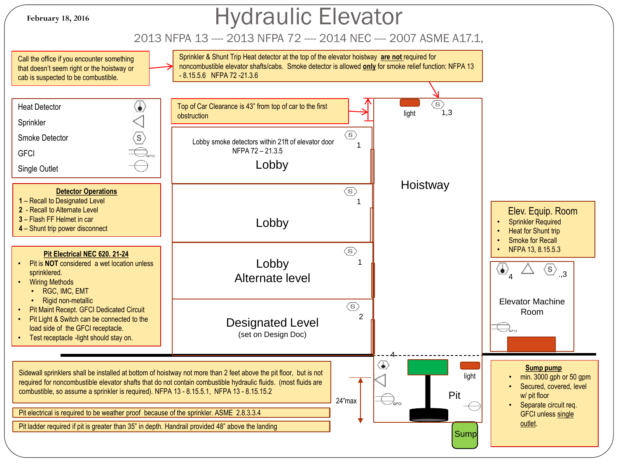

# Hydraulic Elevator

### 2013 NFPA 13 ---- 2013 NFPA 72 ---- 2014 NEC ---- 2007 ASME A17.1,

Sprinkler & Shunt Trip Heat detector at the top of the elevator hoistway **are not** required for Call the office if you encounter something noncombustible elevator shafts/cabs. Smoke detector is allowed **only** for smoke relief function: NFPA 13 that doesn't seem right or the hoistway or - 8.15.5.6 NFPA 72 -21.3.6 cab is suspected to be combustible.  $\langle s \rangle$  $\langle \!\!\!\!\bullet \rangle$ Heat Detector Top of Car Clearance is 43" from top of car to the first light  $1.3$ obstruction Sprinkler  $\langle \overline{\$} \rangle$  $\langle s \rangle$ Smoke Detector Lobby smoke detectors within 21ft of elevator door 1 NFPA 72 – 21.3.5 **GFCI** Lobby Single Outlet **Hoistway**  $\langle s \rangle$ **Detector Operations 1** – Recall to Designated Level 1 **2** - Recall to Alternate Level Elev. Equip. Room **3** – Flash FF Helmet in car Lobby **Sprinkler Required 4** – Shunt trip power disconnect • Heat for Shunt trip Smoke for Recall  $\langle s \rangle$ • NFPA 13, 8.15.5.3 **Pit Electrical NEC 620. 21-24** Lobby • Pit is **NOT** considered a wet location unless 1  $\overline{4}$ ,  $\overline{4}$ ,  $\overline{4}$ ,  $\overline{3}$ sprinklered. Alternate level **Wiring Methods** • RGC, IMC, EMT • Rigid non-metallic Elevator Machine  $\langle s \rangle$ • Pit Maint Recept. GFCI Dedicated Circuit Room2 Pit Light & Switch can be connected to the Designated Level load side of the GFCI receptacle. (set on Design Doc) • Test receptacle -light should stay on. 4 ம **Sump pump**  Sidewall sprinklers shall be installed at bottom of hoistway not more than 2 feet above the pit floor, but is not light • min. 3000 gph or 50 gpm required for noncombustible elevator shafts that do not contain combustible hydraulic fluids. (most fluids are Secured, covered, level combustible, so assume a sprinkler is required). NFPA 13 - 8.15.5.1, NFPA 13 - 8.15.15.2 Pit w/ pit floor 24"max • Separate circuit req. Pit electrical is required to be weather proof because of the sprinkler. ASME 2.8.3.3.4 GFCI unless single outlet. Pit ladder required if pit is greater than 35" in depth. Handrail provided 48" above the landing Sump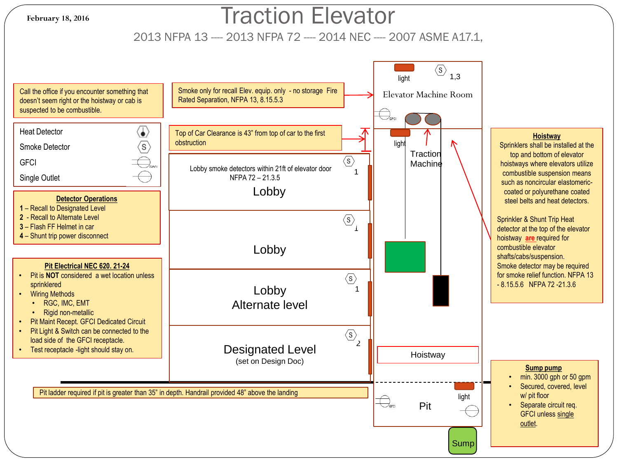#### **February 18, 2016**

## Traction Elevator

2013 NFPA 13 ---- 2013 NFPA 72 ---- 2014 NEC ---- 2007 ASME A17.1,

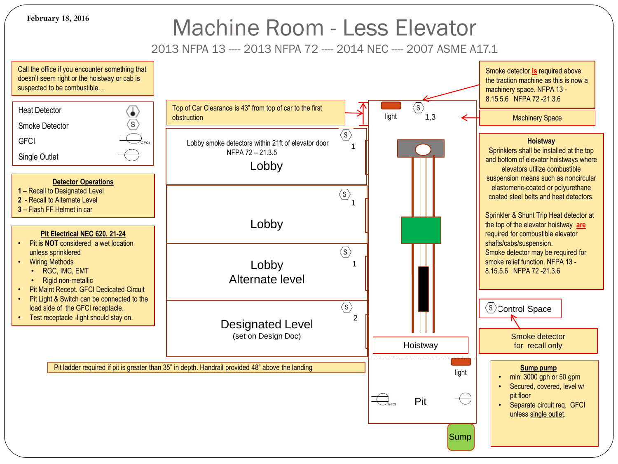**February 18, 2016**

## Machine Room - Less Elevator

2013 NFPA 13 ---- 2013 NFPA 72 ---- 2014 NEC ---- 2007 ASME A17.1